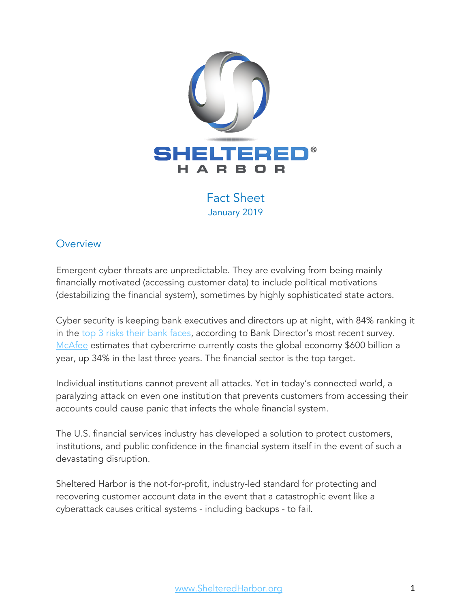

Fact Sheet January 2019

# **Overview**

Emergent cyber threats are unpredictable. They are evolving from being mainly financially motivated (accessing customer data) to include political motivations (destabilizing the financial system), sometimes by highly sophisticated state actors.

Cyber security is keeping bank executives and directors up at night, with 84% ranking it in the top 3 risks their bank faces, according to Bank Director's most recent survey. McAfee estimates that cybercrime currently costs the global economy \$600 billion a year, up 34% in the last three years. The financial sector is the top target.

Individual institutions cannot prevent all attacks. Yet in today's connected world, a paralyzing attack on even one institution that prevents customers from accessing their accounts could cause panic that infects the whole financial system.

The U.S. financial services industry has developed a solution to protect customers, institutions, and public confidence in the financial system itself in the event of such a devastating disruption.

Sheltered Harbor is the not-for-profit, industry-led standard for protecting and recovering customer account data in the event that a catastrophic event like a cyberattack causes critical systems - including backups - to fail.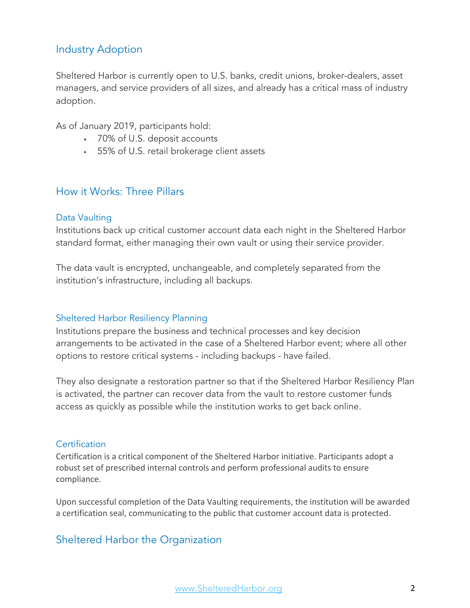# Industry Adoption

Sheltered Harbor is currently open to U.S. banks, credit unions, broker-dealers, asset managers, and service providers of all sizes, and already has a critical mass of industry adoption.

As of January 2019, participants hold:

- 70% of U.S. deposit accounts
- 55% of U.S. retail brokerage client assets

## How it Works: Three Pillars

#### Data Vaulting

Institutions back up critical customer account data each night in the Sheltered Harbor standard format, either managing their own vault or using their service provider.

The data vault is encrypted, unchangeable, and completely separated from the institution's infrastructure, including all backups.

#### Sheltered Harbor Resiliency Planning

Institutions prepare the business and technical processes and key decision arrangements to be activated in the case of a Sheltered Harbor event; where all other options to restore critical systems - including backups - have failed.

They also designate a restoration partner so that if the Sheltered Harbor Resiliency Plan is activated, the partner can recover data from the vault to restore customer funds access as quickly as possible while the institution works to get back online.

#### **Certification**

Certification is a critical component of the Sheltered Harbor initiative. Participants adopt a robust set of prescribed internal controls and perform professional audits to ensure compliance.

Upon successful completion of the Data Vaulting requirements, the institution will be awarded a certification seal, communicating to the public that customer account data is protected.

# Sheltered Harbor the Organization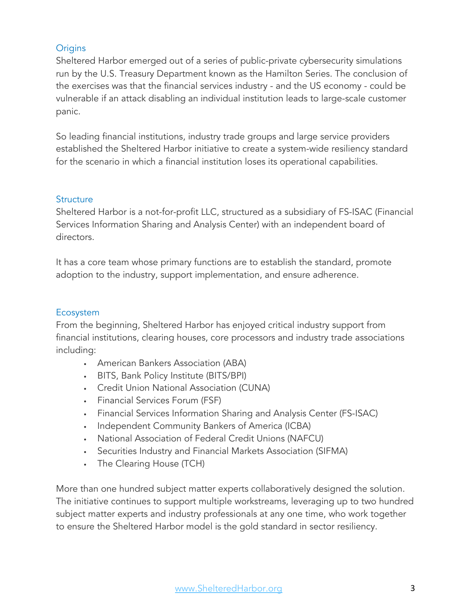### **Origins**

Sheltered Harbor emerged out of a series of public-private cybersecurity simulations run by the U.S. Treasury Department known as the Hamilton Series. The conclusion of the exercises was that the financial services industry - and the US economy - could be vulnerable if an attack disabling an individual institution leads to large-scale customer panic.

So leading financial institutions, industry trade groups and large service providers established the Sheltered Harbor initiative to create a system-wide resiliency standard for the scenario in which a financial institution loses its operational capabilities.

#### **Structure**

Sheltered Harbor is a not-for-profit LLC, structured as a subsidiary of FS-ISAC (Financial Services Information Sharing and Analysis Center) with an independent board of directors.

It has a core team whose primary functions are to establish the standard, promote adoption to the industry, support implementation, and ensure adherence.

### Ecosystem

From the beginning, Sheltered Harbor has enjoyed critical industry support from financial institutions, clearing houses, core processors and industry trade associations including:

- American Bankers Association (ABA)
- BITS, Bank Policy Institute (BITS/BPI)
- Credit Union National Association (CUNA)
- Financial Services Forum (FSF)
- Financial Services Information Sharing and Analysis Center (FS-ISAC)
- Independent Community Bankers of America (ICBA)
- National Association of Federal Credit Unions (NAFCU)
- Securities Industry and Financial Markets Association (SIFMA)
- The Clearing House (TCH)

More than one hundred subject matter experts collaboratively designed the solution. The initiative continues to support multiple workstreams, leveraging up to two hundred subject matter experts and industry professionals at any one time, who work together to ensure the Sheltered Harbor model is the gold standard in sector resiliency.